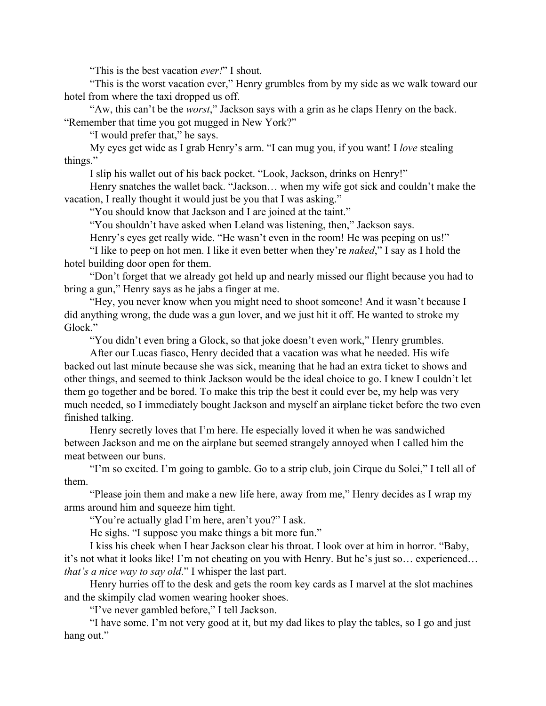"This is the best vacation *ever!*" I shout.

"This is the worst vacation ever," Henry grumbles from by my side as we walk toward our hotel from where the taxi dropped us off.

"Aw, this can't be the *worst*," Jackson says with a grin as he claps Henry on the back. "Remember that time you got mugged in New York?"

"I would prefer that," he says.

My eyes get wide as I grab Henry's arm. "I can mug you, if you want! I *love* stealing things."

I slip his wallet out of his back pocket. "Look, Jackson, drinks on Henry!"

Henry snatches the wallet back. "Jackson… when my wife got sick and couldn't make the vacation, I really thought it would just be you that I was asking."

"You should know that Jackson and I are joined at the taint."

"You shouldn't have asked when Leland was listening, then," Jackson says.

Henry's eyes get really wide. "He wasn't even in the room! He was peeping on us!"

"I like to peep on hot men. I like it even better when they're *naked*," I say as I hold the hotel building door open for them.

"Don't forget that we already got held up and nearly missed our flight because you had to bring a gun," Henry says as he jabs a finger at me.

"Hey, you never know when you might need to shoot someone! And it wasn't because I did anything wrong, the dude was a gun lover, and we just hit it off. He wanted to stroke my Glock."

"You didn't even bring a Glock, so that joke doesn't even work," Henry grumbles.

After our Lucas fiasco, Henry decided that a vacation was what he needed. His wife backed out last minute because she was sick, meaning that he had an extra ticket to shows and other things, and seemed to think Jackson would be the ideal choice to go. I knew I couldn't let them go together and be bored. To make this trip the best it could ever be, my help was very much needed, so I immediately bought Jackson and myself an airplane ticket before the two even finished talking.

Henry secretly loves that I'm here. He especially loved it when he was sandwiched between Jackson and me on the airplane but seemed strangely annoyed when I called him the meat between our buns.

"I'm so excited. I'm going to gamble. Go to a strip club, join Cirque du Solei," I tell all of them.

"Please join them and make a new life here, away from me," Henry decides as I wrap my arms around him and squeeze him tight.

"You're actually glad I'm here, aren't you?" I ask.

He sighs. "I suppose you make things a bit more fun."

I kiss his cheek when I hear Jackson clear his throat. I look over at him in horror. "Baby, it's not what it looks like! I'm not cheating on you with Henry. But he's just so… experienced… *that's a nice way to say old*." I whisper the last part.

Henry hurries off to the desk and gets the room key cards as I marvel at the slot machines and the skimpily clad women wearing hooker shoes.

"I've never gambled before," I tell Jackson.

"I have some. I'm not very good at it, but my dad likes to play the tables, so I go and just hang out."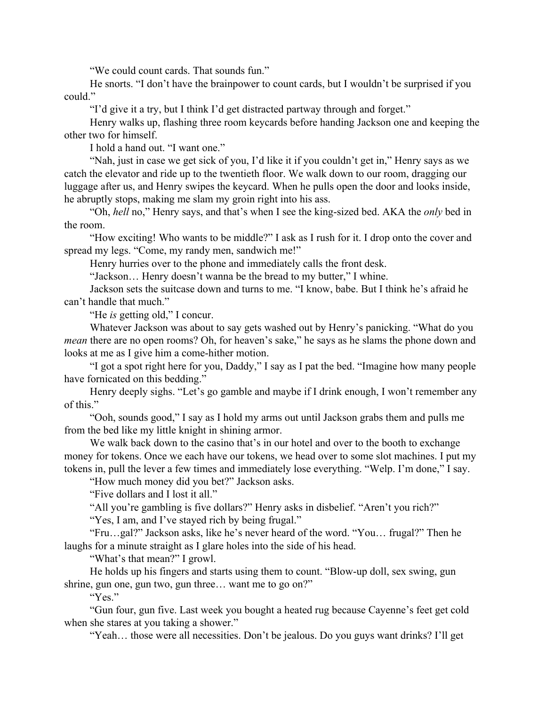"We could count cards. That sounds fun."

He snorts. "I don't have the brainpower to count cards, but I wouldn't be surprised if you could."

"I'd give it a try, but I think I'd get distracted partway through and forget."

Henry walks up, flashing three room keycards before handing Jackson one and keeping the other two for himself.

I hold a hand out. "I want one."

"Nah, just in case we get sick of you, I'd like it if you couldn't get in," Henry says as we catch the elevator and ride up to the twentieth floor. We walk down to our room, dragging our luggage after us, and Henry swipes the keycard. When he pulls open the door and looks inside, he abruptly stops, making me slam my groin right into his ass.

"Oh, *hell* no," Henry says, and that's when I see the king-sized bed. AKA the *only* bed in the room.

"How exciting! Who wants to be middle?" I ask as I rush for it. I drop onto the cover and spread my legs. "Come, my randy men, sandwich me!"

Henry hurries over to the phone and immediately calls the front desk.

"Jackson… Henry doesn't wanna be the bread to my butter," I whine.

Jackson sets the suitcase down and turns to me. "I know, babe. But I think he's afraid he can't handle that much."

"He *is* getting old," I concur.

Whatever Jackson was about to say gets washed out by Henry's panicking. "What do you *mean* there are no open rooms? Oh, for heaven's sake," he says as he slams the phone down and looks at me as I give him a come-hither motion.

"I got a spot right here for you, Daddy," I say as I pat the bed. "Imagine how many people have fornicated on this bedding."

Henry deeply sighs. "Let's go gamble and maybe if I drink enough, I won't remember any of this."

"Ooh, sounds good," I say as I hold my arms out until Jackson grabs them and pulls me from the bed like my little knight in shining armor.

We walk back down to the casino that's in our hotel and over to the booth to exchange money for tokens. Once we each have our tokens, we head over to some slot machines. I put my tokens in, pull the lever a few times and immediately lose everything. "Welp. I'm done," I say.

"How much money did you bet?" Jackson asks.

"Five dollars and I lost it all."

"All you're gambling is five dollars?" Henry asks in disbelief. "Aren't you rich?"

"Yes, I am, and I've stayed rich by being frugal."

"Fru…gal?" Jackson asks, like he's never heard of the word. "You… frugal?" Then he laughs for a minute straight as I glare holes into the side of his head.

"What's that mean?" I growl.

He holds up his fingers and starts using them to count. "Blow-up doll, sex swing, gun shrine, gun one, gun two, gun three… want me to go on?"

"Yes."

"Gun four, gun five. Last week you bought a heated rug because Cayenne's feet get cold when she stares at you taking a shower."

"Yeah… those were all necessities. Don't be jealous. Do you guys want drinks? I'll get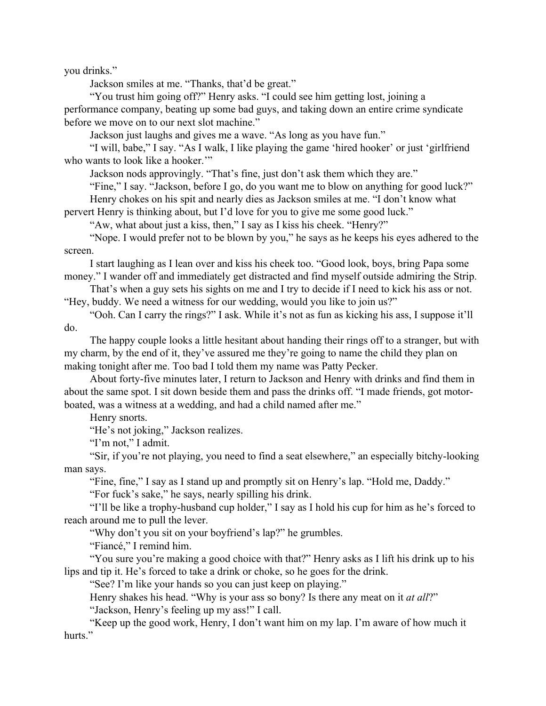you drinks."

Jackson smiles at me. "Thanks, that'd be great."

"You trust him going off?" Henry asks. "I could see him getting lost, joining a performance company, beating up some bad guys, and taking down an entire crime syndicate before we move on to our next slot machine."

Jackson just laughs and gives me a wave. "As long as you have fun."

"I will, babe," I say. "As I walk, I like playing the game 'hired hooker' or just 'girlfriend who wants to look like a hooker."

Jackson nods approvingly. "That's fine, just don't ask them which they are."

"Fine," I say. "Jackson, before I go, do you want me to blow on anything for good luck?"

Henry chokes on his spit and nearly dies as Jackson smiles at me. "I don't know what pervert Henry is thinking about, but I'd love for you to give me some good luck."

"Aw, what about just a kiss, then," I say as I kiss his cheek. "Henry?"

"Nope. I would prefer not to be blown by you," he says as he keeps his eyes adhered to the screen.

I start laughing as I lean over and kiss his cheek too. "Good look, boys, bring Papa some money." I wander off and immediately get distracted and find myself outside admiring the Strip.

That's when a guy sets his sights on me and I try to decide if I need to kick his ass or not. "Hey, buddy. We need a witness for our wedding, would you like to join us?"

"Ooh. Can I carry the rings?" I ask. While it's not as fun as kicking his ass, I suppose it'll do.

The happy couple looks a little hesitant about handing their rings off to a stranger, but with my charm, by the end of it, they've assured me they're going to name the child they plan on making tonight after me. Too bad I told them my name was Patty Pecker.

About forty-five minutes later, I return to Jackson and Henry with drinks and find them in about the same spot. I sit down beside them and pass the drinks off. "I made friends, got motorboated, was a witness at a wedding, and had a child named after me."

Henry snorts.

"He's not joking," Jackson realizes.

"I'm not," I admit.

"Sir, if you're not playing, you need to find a seat elsewhere," an especially bitchy-looking man says.

"Fine, fine," I say as I stand up and promptly sit on Henry's lap. "Hold me, Daddy."

"For fuck's sake," he says, nearly spilling his drink.

"I'll be like a trophy-husband cup holder," I say as I hold his cup for him as he's forced to reach around me to pull the lever.

"Why don't you sit on your boyfriend's lap?" he grumbles.

"Fiancé," I remind him.

"You sure you're making a good choice with that?" Henry asks as I lift his drink up to his lips and tip it. He's forced to take a drink or choke, so he goes for the drink.

"See? I'm like your hands so you can just keep on playing."

Henry shakes his head. "Why is your ass so bony? Is there any meat on it *at all*?"

"Jackson, Henry's feeling up my ass!" I call.

"Keep up the good work, Henry, I don't want him on my lap. I'm aware of how much it hurts."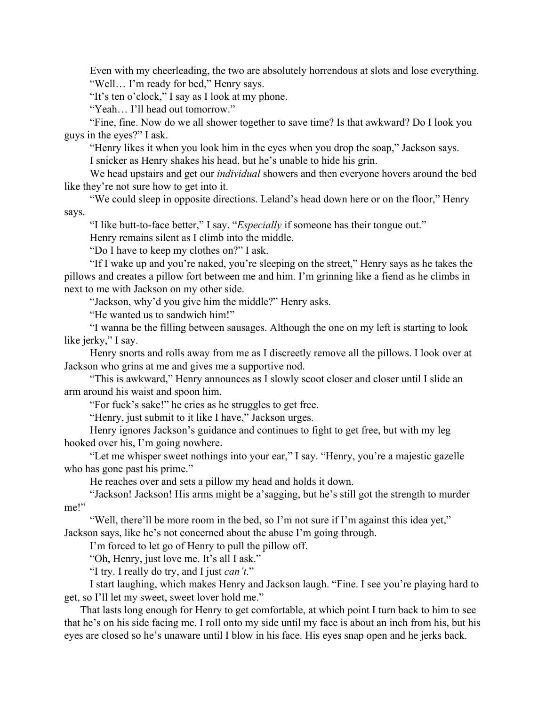Even with my cheerleading, the two are absolutely horrendous at slots and lose everything. "Well… I'm ready for bed," Henry says.

"It's ten o'clock," I say as I look at my phone.

"Yeah… I'll head out tomorrow."

"Fine, fine. Now do we all shower together to save time? Is that awkward? Do I look you guys in the eyes?" I ask.

"Henry likes it when you look him in the eyes when you drop the soap," Jackson says.

I snicker as Henry shakes his head, but he's unable to hide his grin.

We head upstairs and get our *individual* showers and then everyone hovers around the bed like they're not sure how to get into it.

"We could sleep in opposite directions. Leland's head down here or on the floor," Henry says.

"I like butt-to-face better," I say. "*Especially* if someone has their tongue out."

Henry remains silent as I climb into the middle.

"Do I have to keep my clothes on?" I ask.

"If I wake up and you're naked, you're sleeping on the street," Henry says as he takes the pillows and creates a pillow fort between me and him. I'm grinning like a fiend as he climbs in next to me with Jackson on my other side.

"Jackson, why'd you give him the middle?" Henry asks.

"He wanted us to sandwich him!"

"I wanna be the filling between sausages. Although the one on my left is starting to look like jerky," I say.

Henry snorts and rolls away from me as I discreetly remove all the pillows. I look over at Jackson who grins at me and gives me a supportive nod.

"This is awkward," Henry announces as I slowly scoot closer and closer until I slide an arm around his waist and spoon him.

"For fuck's sake!" he cries as he struggles to get free.

"Henry, just submit to it like I have," Jackson urges.

Henry ignores Jackson's guidance and continues to fight to get free, but with my leg hooked over his, I'm going nowhere.

"Let me whisper sweet nothings into your ear," I say. "Henry, you're a majestic gazelle who has gone past his prime."

He reaches over and sets a pillow my head and holds it down.

"Jackson! Jackson! His arms might be a'sagging, but he's still got the strength to murder me!"

"Well, there'll be more room in the bed, so I'm not sure if I'm against this idea yet," Jackson says, like he's not concerned about the abuse I'm going through.

I'm forced to let go of Henry to pull the pillow off.

"Oh, Henry, just love me. It's all I ask."

"I try. I really do try, and I just *can't*."

I start laughing, which makes Henry and Jackson laugh. "Fine. I see you're playing hard to get, so I'll let my sweet, sweet lover hold me."

That lasts long enough for Henry to get comfortable, at which point I turn back to him to see that he's on his side facing me. I roll onto my side until my face is about an inch from his, but his eyes are closed so he's unaware until I blow in his face. His eyes snap open and he jerks back.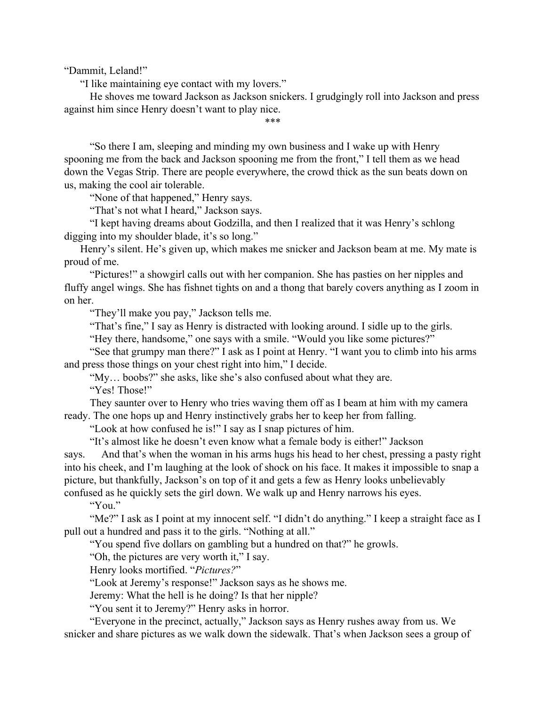"Dammit, Leland!"

"I like maintaining eye contact with my lovers."

He shoves me toward Jackson as Jackson snickers. I grudgingly roll into Jackson and press against him since Henry doesn't want to play nice.

\*\*\*

"So there I am, sleeping and minding my own business and I wake up with Henry spooning me from the back and Jackson spooning me from the front," I tell them as we head down the Vegas Strip. There are people everywhere, the crowd thick as the sun beats down on us, making the cool air tolerable.

"None of that happened," Henry says.

"That's not what I heard," Jackson says.

"I kept having dreams about Godzilla, and then I realized that it was Henry's schlong digging into my shoulder blade, it's so long."

Henry's silent. He's given up, which makes me snicker and Jackson beam at me. My mate is proud of me.

"Pictures!" a showgirl calls out with her companion. She has pasties on her nipples and fluffy angel wings. She has fishnet tights on and a thong that barely covers anything as I zoom in on her.

"They'll make you pay," Jackson tells me.

"That's fine," I say as Henry is distracted with looking around. I sidle up to the girls.

"Hey there, handsome," one says with a smile. "Would you like some pictures?"

"See that grumpy man there?" I ask as I point at Henry. "I want you to climb into his arms and press those things on your chest right into him," I decide.

"My… boobs?" she asks, like she's also confused about what they are. "Yes! Those!"

They saunter over to Henry who tries waving them off as I beam at him with my camera ready. The one hops up and Henry instinctively grabs her to keep her from falling.

"Look at how confused he is!" I say as I snap pictures of him.

"It's almost like he doesn't even know what a female body is either!" Jackson

says. And that's when the woman in his arms hugs his head to her chest, pressing a pasty right into his cheek, and I'm laughing at the look of shock on his face. It makes it impossible to snap a picture, but thankfully, Jackson's on top of it and gets a few as Henry looks unbelievably confused as he quickly sets the girl down. We walk up and Henry narrows his eyes.

"You."

"Me?" I ask as I point at my innocent self. "I didn't do anything." I keep a straight face as I pull out a hundred and pass it to the girls. "Nothing at all."

"You spend five dollars on gambling but a hundred on that?" he growls.

"Oh, the pictures are very worth it," I say.

Henry looks mortified. "*Pictures?*"

"Look at Jeremy's response!" Jackson says as he shows me.

Jeremy: What the hell is he doing? Is that her nipple?

"You sent it to Jeremy?" Henry asks in horror.

"Everyone in the precinct, actually," Jackson says as Henry rushes away from us. We snicker and share pictures as we walk down the sidewalk. That's when Jackson sees a group of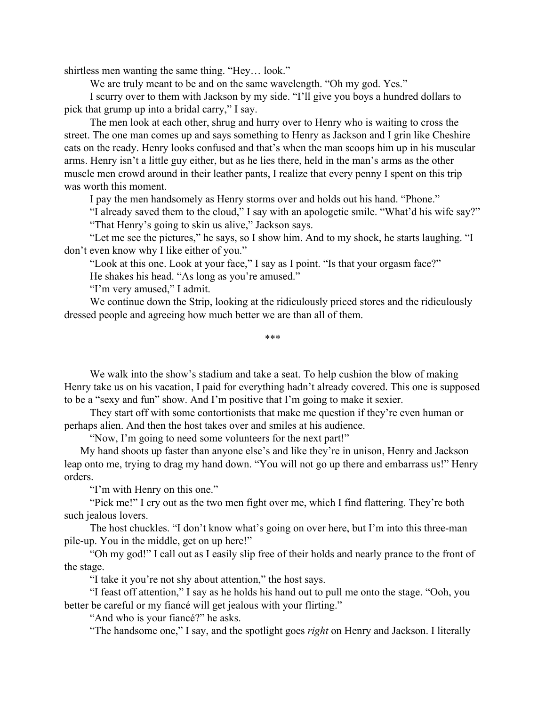shirtless men wanting the same thing. "Hey… look."

We are truly meant to be and on the same wavelength. "Oh my god. Yes."

I scurry over to them with Jackson by my side. "I'll give you boys a hundred dollars to pick that grump up into a bridal carry," I say.

The men look at each other, shrug and hurry over to Henry who is waiting to cross the street. The one man comes up and says something to Henry as Jackson and I grin like Cheshire cats on the ready. Henry looks confused and that's when the man scoops him up in his muscular arms. Henry isn't a little guy either, but as he lies there, held in the man's arms as the other muscle men crowd around in their leather pants, I realize that every penny I spent on this trip was worth this moment.

I pay the men handsomely as Henry storms over and holds out his hand. "Phone."

"I already saved them to the cloud," I say with an apologetic smile. "What'd his wife say?" "That Henry's going to skin us alive," Jackson says.

"Let me see the pictures," he says, so I show him. And to my shock, he starts laughing. "I don't even know why I like either of you."

"Look at this one. Look at your face," I say as I point. "Is that your orgasm face?"

He shakes his head. "As long as you're amused."

"I'm very amused," I admit.

We continue down the Strip, looking at the ridiculously priced stores and the ridiculously dressed people and agreeing how much better we are than all of them.

\*\*\*

We walk into the show's stadium and take a seat. To help cushion the blow of making Henry take us on his vacation, I paid for everything hadn't already covered. This one is supposed to be a "sexy and fun" show. And I'm positive that I'm going to make it sexier.

They start off with some contortionists that make me question if they're even human or perhaps alien. And then the host takes over and smiles at his audience.

"Now, I'm going to need some volunteers for the next part!"

My hand shoots up faster than anyone else's and like they're in unison, Henry and Jackson leap onto me, trying to drag my hand down. "You will not go up there and embarrass us!" Henry orders.

"I'm with Henry on this one."

"Pick me!" I cry out as the two men fight over me, which I find flattering. They're both such jealous lovers.

The host chuckles. "I don't know what's going on over here, but I'm into this three-man pile-up. You in the middle, get on up here!"

"Oh my god!" I call out as I easily slip free of their holds and nearly prance to the front of the stage.

"I take it you're not shy about attention," the host says.

"I feast off attention," I say as he holds his hand out to pull me onto the stage. "Ooh, you better be careful or my fiancé will get jealous with your flirting."

"And who is your fiance?" he asks.

"The handsome one," I say, and the spotlight goes *right* on Henry and Jackson. I literally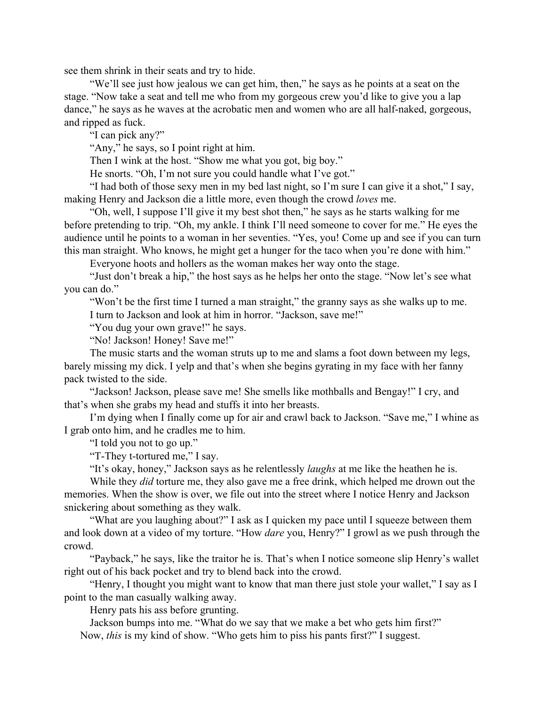see them shrink in their seats and try to hide.

"We'll see just how jealous we can get him, then," he says as he points at a seat on the stage. "Now take a seat and tell me who from my gorgeous crew you'd like to give you a lap dance," he says as he waves at the acrobatic men and women who are all half-naked, gorgeous, and ripped as fuck.

"I can pick any?"

"Any," he says, so I point right at him.

Then I wink at the host. "Show me what you got, big boy."

He snorts. "Oh, I'm not sure you could handle what I've got."

"I had both of those sexy men in my bed last night, so I'm sure I can give it a shot," I say, making Henry and Jackson die a little more, even though the crowd *loves* me.

"Oh, well, I suppose I'll give it my best shot then," he says as he starts walking for me before pretending to trip. "Oh, my ankle. I think I'll need someone to cover for me." He eyes the audience until he points to a woman in her seventies. "Yes, you! Come up and see if you can turn this man straight. Who knows, he might get a hunger for the taco when you're done with him."

Everyone hoots and hollers as the woman makes her way onto the stage.

"Just don't break a hip," the host says as he helps her onto the stage. "Now let's see what you can do."

"Won't be the first time I turned a man straight," the granny says as she walks up to me. I turn to Jackson and look at him in horror. "Jackson, save me!"

"You dug your own grave!" he says.

"No! Jackson! Honey! Save me!"

The music starts and the woman struts up to me and slams a foot down between my legs, barely missing my dick. I yelp and that's when she begins gyrating in my face with her fanny pack twisted to the side.

"Jackson! Jackson, please save me! She smells like mothballs and Bengay!" I cry, and that's when she grabs my head and stuffs it into her breasts.

I'm dying when I finally come up for air and crawl back to Jackson. "Save me," I whine as I grab onto him, and he cradles me to him.

"I told you not to go up."

"T-They t-tortured me," I say.

"It's okay, honey," Jackson says as he relentlessly *laughs* at me like the heathen he is.

While they *did* torture me, they also gave me a free drink, which helped me drown out the memories. When the show is over, we file out into the street where I notice Henry and Jackson snickering about something as they walk.

"What are you laughing about?" I ask as I quicken my pace until I squeeze between them and look down at a video of my torture. "How *dare* you, Henry?" I growl as we push through the crowd.

"Payback," he says, like the traitor he is. That's when I notice someone slip Henry's wallet right out of his back pocket and try to blend back into the crowd.

"Henry, I thought you might want to know that man there just stole your wallet," I say as I point to the man casually walking away.

Henry pats his ass before grunting.

Jackson bumps into me. "What do we say that we make a bet who gets him first?" Now, *this* is my kind of show. "Who gets him to piss his pants first?" I suggest.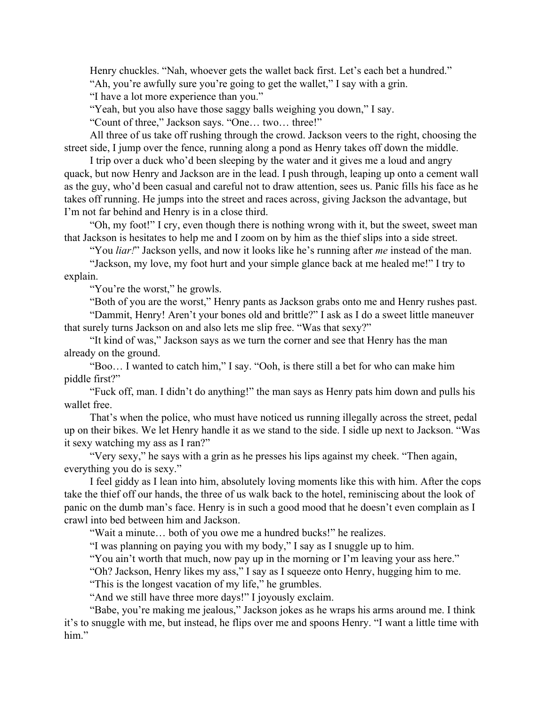Henry chuckles. "Nah, whoever gets the wallet back first. Let's each bet a hundred."

"Ah, you're awfully sure you're going to get the wallet," I say with a grin.

"I have a lot more experience than you."

"Yeah, but you also have those saggy balls weighing you down," I say.

"Count of three," Jackson says. "One… two… three!"

All three of us take off rushing through the crowd. Jackson veers to the right, choosing the street side, I jump over the fence, running along a pond as Henry takes off down the middle.

I trip over a duck who'd been sleeping by the water and it gives me a loud and angry quack, but now Henry and Jackson are in the lead. I push through, leaping up onto a cement wall as the guy, who'd been casual and careful not to draw attention, sees us. Panic fills his face as he takes off running. He jumps into the street and races across, giving Jackson the advantage, but I'm not far behind and Henry is in a close third.

"Oh, my foot!" I cry, even though there is nothing wrong with it, but the sweet, sweet man that Jackson is hesitates to help me and I zoom on by him as the thief slips into a side street.

"You *liar!*" Jackson yells, and now it looks like he's running after *me* instead of the man.

"Jackson, my love, my foot hurt and your simple glance back at me healed me!" I try to explain.

"You're the worst," he growls.

"Both of you are the worst," Henry pants as Jackson grabs onto me and Henry rushes past.

"Dammit, Henry! Aren't your bones old and brittle?" I ask as I do a sweet little maneuver that surely turns Jackson on and also lets me slip free. "Was that sexy?"

"It kind of was," Jackson says as we turn the corner and see that Henry has the man already on the ground.

"Boo… I wanted to catch him," I say. "Ooh, is there still a bet for who can make him piddle first?"

"Fuck off, man. I didn't do anything!" the man says as Henry pats him down and pulls his wallet free.

That's when the police, who must have noticed us running illegally across the street, pedal up on their bikes. We let Henry handle it as we stand to the side. I sidle up next to Jackson. "Was it sexy watching my ass as I ran?"

"Very sexy," he says with a grin as he presses his lips against my cheek. "Then again, everything you do is sexy."

I feel giddy as I lean into him, absolutely loving moments like this with him. After the cops take the thief off our hands, the three of us walk back to the hotel, reminiscing about the look of panic on the dumb man's face. Henry is in such a good mood that he doesn't even complain as I crawl into bed between him and Jackson.

"Wait a minute… both of you owe me a hundred bucks!" he realizes.

"I was planning on paying you with my body," I say as I snuggle up to him.

"You ain't worth that much, now pay up in the morning or I'm leaving your ass here."

"Oh? Jackson, Henry likes my ass," I say as I squeeze onto Henry, hugging him to me.

"This is the longest vacation of my life," he grumbles.

"And we still have three more days!" I joyously exclaim.

"Babe, you're making me jealous," Jackson jokes as he wraps his arms around me. I think it's to snuggle with me, but instead, he flips over me and spoons Henry. "I want a little time with him."